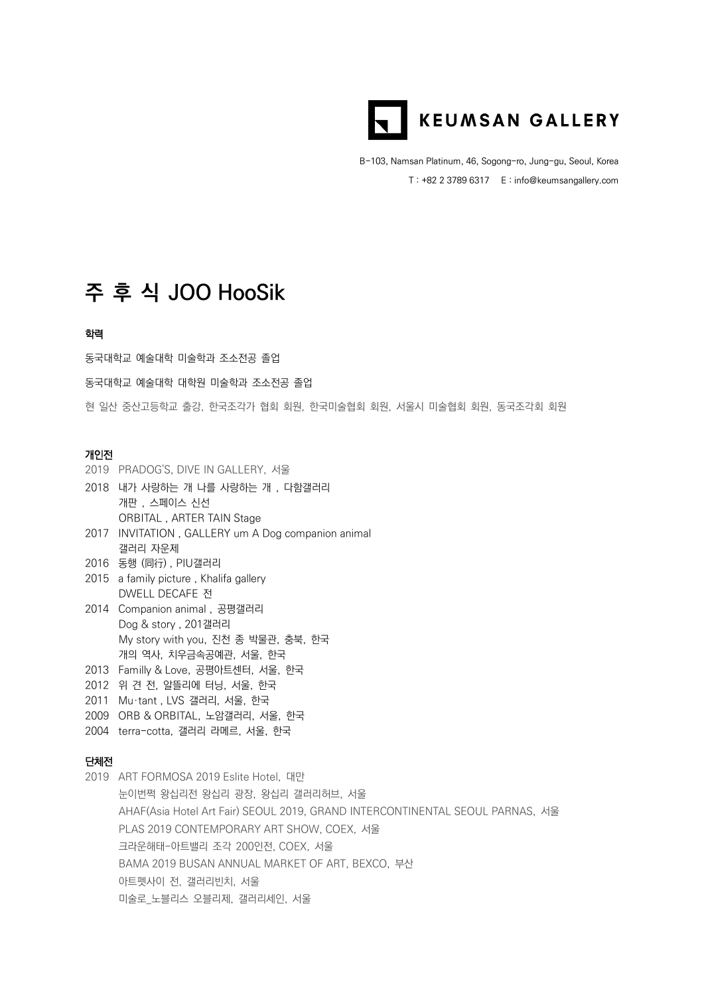

B-103, Namsan Platinum, 46, Sogong-ro, Jung-gu, Seoul, Korea T : +82 2 3789 6317 E : info@keumsangallery.com

## **주 후 식 JOO HooSik**

## 학력

동국대학교 예술대학 미술학과 조소전공 졸업

동국대학교 예술대학 대학원 미술학과 조소전공 졸업

현 일산 중산고등학교 출강, 한국조각가 협회 회원, 한국미술협회 회원, 서울시 미술협회 회원, 동국조각회 회원

## 개인전

- 2019 PRADOG'S, DIVE IN GALLERY, 서울
- 2018 내가 사랑하는 개 나를 사랑하는 개 , 다함갤러리 개판 , 스페이스 신선 ORBITAL , ARTER TAIN Stage
- 2017 INVITATION , GALLERY um A Dog companion animal 갤러리 자운제
- 2016 동행 (同行) , PIU갤러리
- 2015 a family picture , Khalifa gallery DWELL DECAFE 전
- 2014 Companion animal , 공평갤러리 Dog & story , 201갤러리 My story with you, 진천 종 박물관, 충북, 한국 개의 역사, 치우금속공예관, 서울, 한국
- 2013 Familly & Love, 공평아트센터, 서울, 한국
- 2012 위 견 전, 알뜰리에 터닝, 서울, 한국
- 2011 Mu·tant , LVS 갤러리, 서울, 한국
- 2009 ORB & ORBITAL, 노암갤러리, 서울, 한국
- 2004 terra-cotta, 갤러리 라메르, 서울, 한국

## 단체전

2019 ART FORMOSA 2019 Eslite Hotel, 대만 눈이번쩍 왕십리전 왕십리 광장, 왕십리 갤러리허브, 서울 AHAF(Asia Hotel Art Fair) SEOUL 2019, GRAND INTERCONTINENTAL SEOUL PARNAS, 서울 PLAS 2019 CONTEMPORARY ART SHOW, COEX, 서울 크라운해태-아트밸리 조각 200인전, COEX, 서울 BAMA 2019 BUSAN ANNUAL MARKET OF ART, BEXCO, 부산 아트펫사이 전, 갤러리빈치, 서울 미술로\_노블리스 오블리제, 갤러리세인, 서울